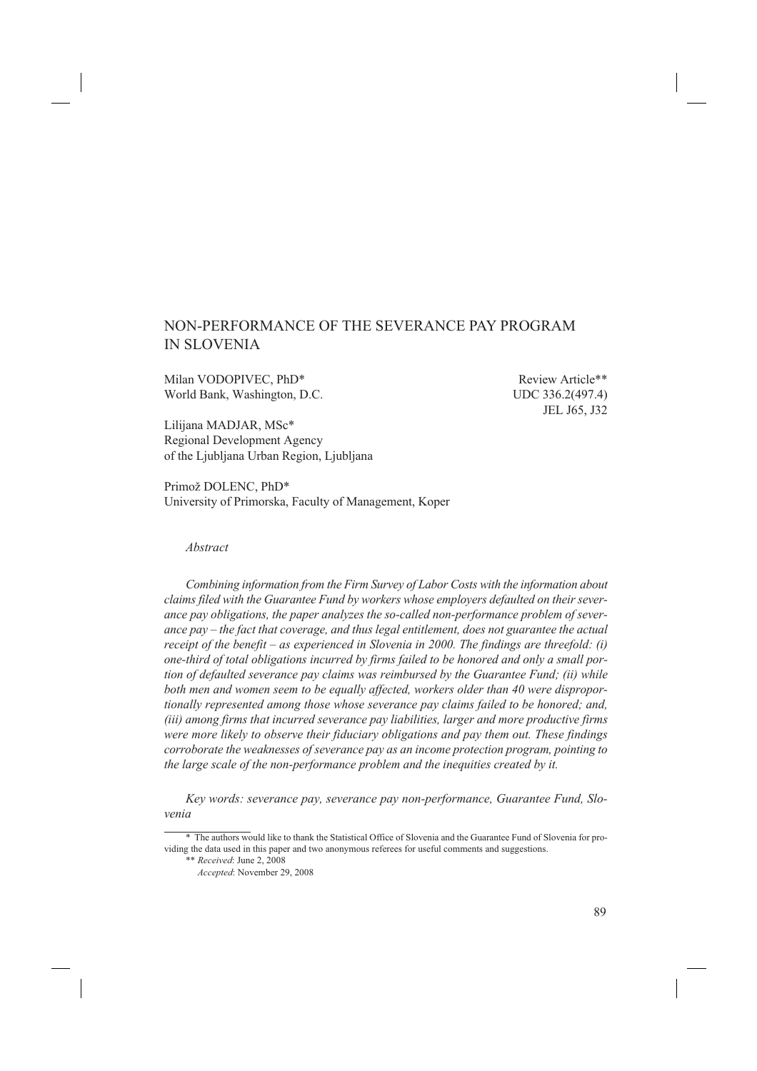# NON-PERFORMANCE OF THE SEVERANCE PAY PROGRAM IN SLOVENIA

Milan VODOPIVEC, PhD\* Review Article\*\* World Bank, Washington, D.C. UDC 336.2(497.4)

JEL J65, J32

Lilijana MADJAR, MSc\* Regional Development Agency of the Ljubljana Urban Region, Ljubljana

Primož DOLENC, PhD\* University of Primorska, Faculty of Management, Koper

*Abstract*

*Combining information from the Firm Survey of Labor Costs with the information about claims filed with the Guarantee Fund by workers whose employers defaulted on their severance pay obligations, the paper analyzes the so-called non-performance problem of severance pay – the fact that coverage, and thus legal entitlement, does not guarantee the actual receipt of the benefit – as experienced in Slovenia in 2000. The findings are threefold: (i) one-third of total obligations incurred by firms failed to be honored and only a small portion of defaulted severance pay claims was reimbursed by the Guarantee Fund; (ii) while both men and women seem to be equally affected, workers older than 40 were disproportionally represented among those whose severance pay claims failed to be honored; and, (iii) among firms that incurred severance pay liabilities, larger and more productive firms were more likely to observe their fiduciary obligations and pay them out. These findings corroborate the weaknesses of severance pay as an income protection program, pointing to the large scale of the non-performance problem and the inequities created by it.* 

*Key words: severance pay, severance pay non-performance, Guarantee Fund, Slovenia*

<sup>\*</sup> The authors would like to thank the Statistical Office of Slovenia and the Guarantee Fund of Slovenia for providing the data used in this paper and two anonymous referees for useful comments and suggestions.

<sup>\*\*</sup> *Received*: June 2, 2008

*Accepted*: November 29, 2008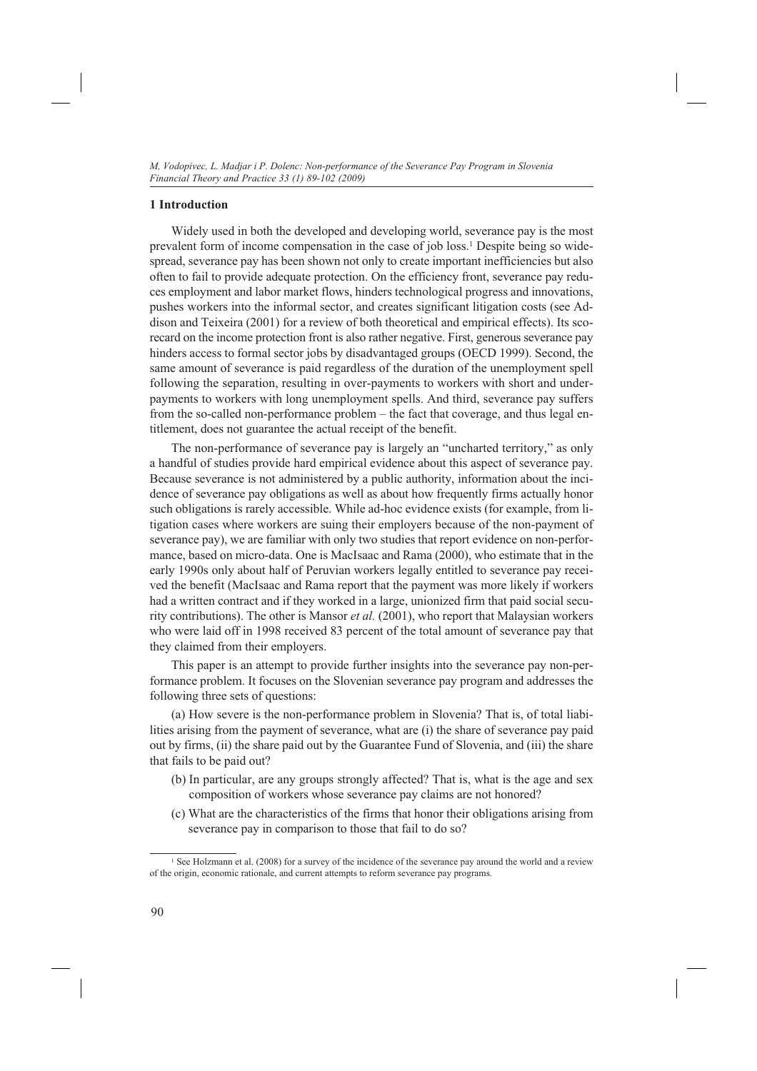#### **1 Introduction**

Widely used in both the developed and developing world, severance pay is the most prevalent form of income compensation in the case of job loss.1 Despite being so widespread, severance pay has been shown not only to create important inefficiencies but also often to fail to provide adequate protection. On the efficiency front, severance pay reduces employment and labor market flows, hinders technological progress and innovations, pushes workers into the informal sector, and creates significant litigation costs (see Addison and Teixeira (2001) for a review of both theoretical and empirical effects). Its scorecard on the income protection front is also rather negative. First, generous severance pay hinders access to formal sector jobs by disadvantaged groups (OECD 1999). Second, the same amount of severance is paid regardless of the duration of the unemployment spell following the separation, resulting in over-payments to workers with short and underpayments to workers with long unemployment spells. And third, severance pay suffers from the so-called non-performance problem – the fact that coverage, and thus legal entitlement, does not guarantee the actual receipt of the benefit.

The non-performance of severance pay is largely an "uncharted territory," as only a handful of studies provide hard empirical evidence about this aspect of severance pay. Because severance is not administered by a public authority, information about the incidence of severance pay obligations as well as about how frequently firms actually honor such obligations is rarely accessible. While ad-hoc evidence exists (for example, from litigation cases where workers are suing their employers because of the non-payment of severance pay), we are familiar with only two studies that report evidence on non-performance, based on micro-data. One is MacIsaac and Rama (2000), who estimate that in the early 1990s only about half of Peruvian workers legally entitled to severance pay received the benefit (MacIsaac and Rama report that the payment was more likely if workers had a written contract and if they worked in a large, unionized firm that paid social security contributions). The other is Mansor *et al.* (2001), who report that Malaysian workers who were laid off in 1998 received 83 percent of the total amount of severance pay that they claimed from their employers.

This paper is an attempt to provide further insights into the severance pay non-performance problem. It focuses on the Slovenian severance pay program and addresses the following three sets of questions:

(a) How severe is the non-performance problem in Slovenia? That is, of total liabilities arising from the payment of severance, what are (i) the share of severance pay paid out by firms, (ii) the share paid out by the Guarantee Fund of Slovenia, and (iii) the share that fails to be paid out?

- (b) In particular, are any groups strongly affected? That is, what is the age and sex composition of workers whose severance pay claims are not honored?
- (c) What are the characteristics of the firms that honor their obligations arising from severance pay in comparison to those that fail to do so?

<sup>1</sup> See Holzmann et al. (2008) for a survey of the incidence of the severance pay around the world and a review of the origin, economic rationale, and current attempts to reform severance pay programs.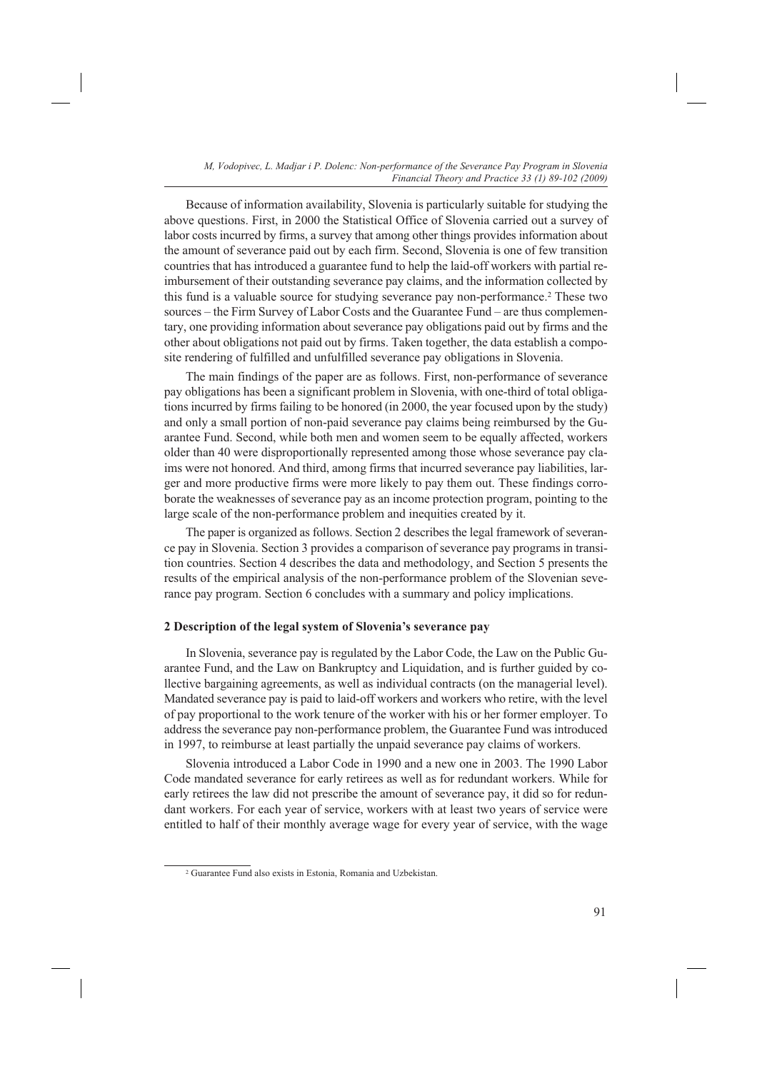Because of information availability, Slovenia is particularly suitable for studying the above questions. First, in 2000 the Statistical Office of Slovenia carried out a survey of labor costs incurred by firms, a survey that among other things provides information about the amount of severance paid out by each firm. Second, Slovenia is one of few transition countries that has introduced a guarantee fund to help the laid-off workers with partial reimbursement of their outstanding severance pay claims, and the information collected by this fund is a valuable source for studying severance pay non-performance.2 These two sources – the Firm Survey of Labor Costs and the Guarantee Fund – are thus complementary, one providing information about severance pay obligations paid out by firms and the other about obligations not paid out by firms. Taken together, the data establish a composite rendering of fulfilled and unfulfilled severance pay obligations in Slovenia.

The main findings of the paper are as follows. First, non-performance of severance pay obligations has been a significant problem in Slovenia, with one-third of total obligations incurred by firms failing to be honored (in 2000, the year focused upon by the study) and only a small portion of non-paid severance pay claims being reimbursed by the Guarantee Fund. Second, while both men and women seem to be equally affected, workers older than 40 were disproportionally represented among those whose severance pay claims were not honored. And third, among firms that incurred severance pay liabilities, larger and more productive firms were more likely to pay them out. These findings corroborate the weaknesses of severance pay as an income protection program, pointing to the large scale of the non-performance problem and inequities created by it.

The paper is organized as follows. Section 2 describes the legal framework of severance pay in Slovenia. Section 3 provides a comparison of severance pay programs in transition countries. Section 4 describes the data and methodology, and Section 5 presents the results of the empirical analysis of the non-performance problem of the Slovenian severance pay program. Section 6 concludes with a summary and policy implications.

#### **2 Description of the legal system of Slovenia's severance pay**

In Slovenia, severance pay is regulated by the Labor Code, the Law on the Public Guarantee Fund, and the Law on Bankruptcy and Liquidation, and is further guided by collective bargaining agreements, as well as individual contracts (on the managerial level). Mandated severance pay is paid to laid-off workers and workers who retire, with the level of pay proportional to the work tenure of the worker with his or her former employer. To address the severance pay non-performance problem, the Guarantee Fund was introduced in 1997, to reimburse at least partially the unpaid severance pay claims of workers.

Slovenia introduced a Labor Code in 1990 and a new one in 2003. The 1990 Labor Code mandated severance for early retirees as well as for redundant workers. While for early retirees the law did not prescribe the amount of severance pay, it did so for redundant workers. For each year of service, workers with at least two years of service were entitled to half of their monthly average wage for every year of service, with the wage

<sup>2</sup> Guarantee Fund also exists in Estonia, Romania and Uzbekistan.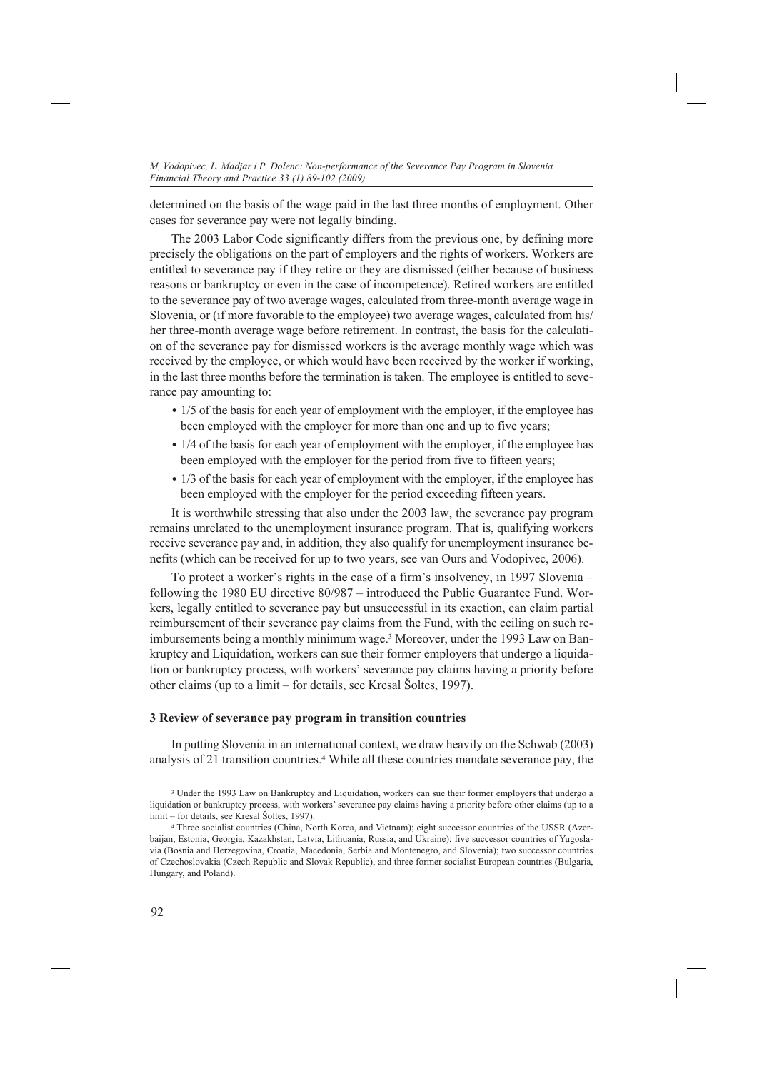determined on the basis of the wage paid in the last three months of employment. Other cases for severance pay were not legally binding.

The 2003 Labor Code significantly differs from the previous one, by defining more precisely the obligations on the part of employers and the rights of workers. Workers are entitled to severance pay if they retire or they are dismissed (either because of business reasons or bankruptcy or even in the case of incompetence). Retired workers are entitled to the severance pay of two average wages, calculated from three-month average wage in Slovenia, or (if more favorable to the employee) two average wages, calculated from his/ her three-month average wage before retirement. In contrast, the basis for the calculation of the severance pay for dismissed workers is the average monthly wage which was received by the employee, or which would have been received by the worker if working, in the last three months before the termination is taken. The employee is entitled to severance pay amounting to:

- 1/5 of the basis for each year of employment with the employer, if the employee has been employed with the employer for more than one and up to five years;
- 1/4 of the basis for each year of employment with the employer, if the employee has been employed with the employer for the period from five to fifteen years;
- 1/3 of the basis for each year of employment with the employer, if the employee has been employed with the employer for the period exceeding fifteen years.

It is worthwhile stressing that also under the 2003 law, the severance pay program remains unrelated to the unemployment insurance program. That is, qualifying workers receive severance pay and, in addition, they also qualify for unemployment insurance benefits (which can be received for up to two years, see van Ours and Vodopivec, 2006).

To protect a worker's rights in the case of a firm's insolvency, in 1997 Slovenia – following the 1980 EU directive 80/987 – introduced the Public Guarantee Fund. Workers, legally entitled to severance pay but unsuccessful in its exaction, can claim partial reimbursement of their severance pay claims from the Fund, with the ceiling on such reimbursements being a monthly minimum wage.3 Moreover, under the 1993 Law on Bankruptcy and Liquidation, workers can sue their former employers that undergo a liquidation or bankruptcy process, with workers' severance pay claims having a priority before other claims (up to a limit – for details, see Kresal Šoltes, 1997).

### **3 Review of severance pay program in transition countries**

In putting Slovenia in an international context, we draw heavily on the Schwab (2003) analysis of 21 transition countries.4 While all these countries mandate severance pay, the

<sup>&</sup>lt;sup>3</sup> Under the 1993 Law on Bankruptcy and Liquidation, workers can sue their former employers that undergo a liquidation or bankruptcy process, with workers' severance pay claims having a priority before other claims (up to a limit – for details, see Kresal Šoltes, 1997).

<sup>4</sup> Three socialist countries (China, North Korea, and Vietnam); eight successor countries of the USSR (Azerbaijan, Estonia, Georgia, Kazakhstan, Latvia, Lithuania, Russia, and Ukraine); five successor countries of Yugoslavia (Bosnia and Herzegovina, Croatia, Macedonia, Serbia and Montenegro, and Slovenia); two successor countries of Czechoslovakia (Czech Republic and Slovak Republic), and three former socialist European countries (Bulgaria, Hungary, and Poland).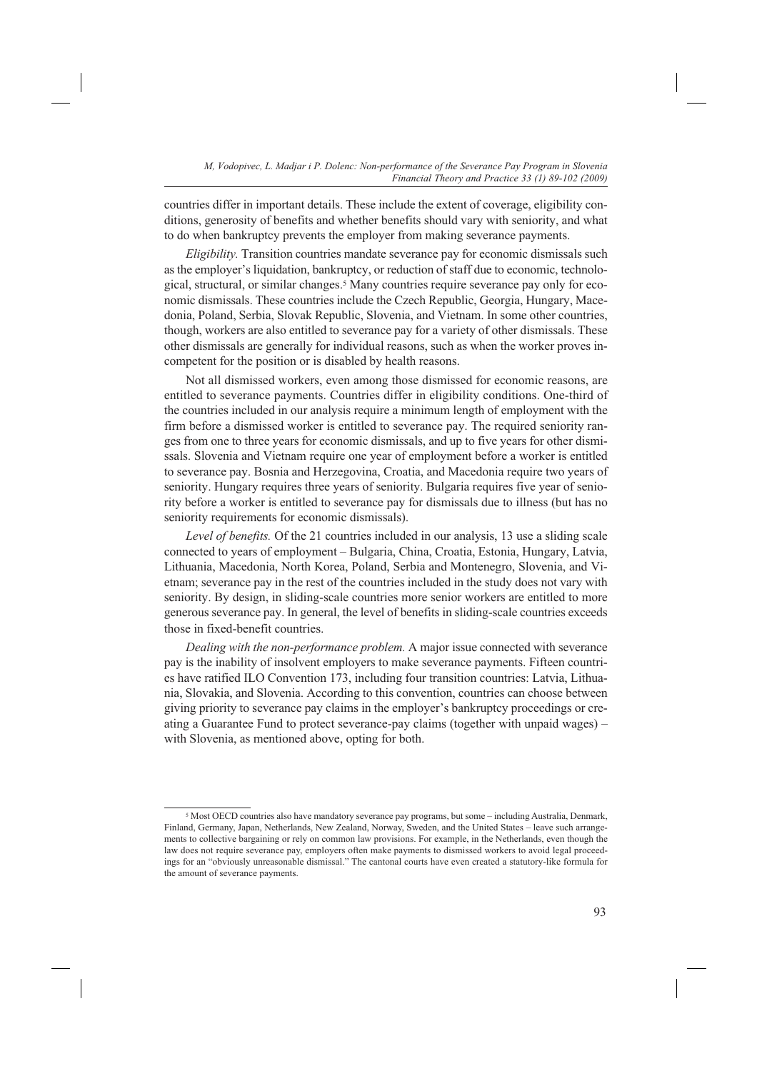countries differ in important details. These include the extent of coverage, eligibility conditions, generosity of benefits and whether benefits should vary with seniority, and what to do when bankruptcy prevents the employer from making severance payments.

*Eligibility.* Transition countries mandate severance pay for economic dismissals such as the employer's liquidation, bankruptcy, or reduction of staff due to economic, technological, structural, or similar changes.<sup>5</sup> Many countries require severance pay only for economic dismissals. These countries include the Czech Republic, Georgia, Hungary, Macedonia, Poland, Serbia, Slovak Republic, Slovenia, and Vietnam. In some other countries, though, workers are also entitled to severance pay for a variety of other dismissals. These other dismissals are generally for individual reasons, such as when the worker proves incompetent for the position or is disabled by health reasons.

Not all dismissed workers, even among those dismissed for economic reasons, are entitled to severance payments. Countries differ in eligibility conditions. One-third of the countries included in our analysis require a minimum length of employment with the firm before a dismissed worker is entitled to severance pay. The required seniority ranges from one to three years for economic dismissals, and up to five years for other dismissals. Slovenia and Vietnam require one year of employment before a worker is entitled to severance pay. Bosnia and Herzegovina, Croatia, and Macedonia require two years of seniority. Hungary requires three years of seniority. Bulgaria requires five year of seniority before a worker is entitled to severance pay for dismissals due to illness (but has no seniority requirements for economic dismissals).

*Level of benefits.* Of the 21 countries included in our analysis, 13 use a sliding scale connected to years of employment – Bulgaria, China, Croatia, Estonia, Hungary, Latvia, Lithuania, Macedonia, North Korea, Poland, Serbia and Montenegro, Slovenia, and Vietnam; severance pay in the rest of the countries included in the study does not vary with seniority. By design, in sliding-scale countries more senior workers are entitled to more generous severance pay. In general, the level of benefits in sliding-scale countries exceeds those in fixed-benefit countries.

*Dealing with the non-performance problem.* A major issue connected with severance pay is the inability of insolvent employers to make severance payments. Fifteen countries have ratified ILO Convention 173, including four transition countries: Latvia, Lithuania, Slovakia, and Slovenia. According to this convention, countries can choose between giving priority to severance pay claims in the employer's bankruptcy proceedings or creating a Guarantee Fund to protect severance-pay claims (together with unpaid wages) – with Slovenia, as mentioned above, opting for both.

<sup>5</sup> Most OECD countries also have mandatory severance pay programs, but some – including Australia, Denmark, Finland, Germany, Japan, Netherlands, New Zealand, Norway, Sweden, and the United States – leave such arrangements to collective bargaining or rely on common law provisions. For example, in the Netherlands, even though the law does not require severance pay, employers often make payments to dismissed workers to avoid legal proceedings for an "obviously unreasonable dismissal." The cantonal courts have even created a statutory-like formula for the amount of severance payments.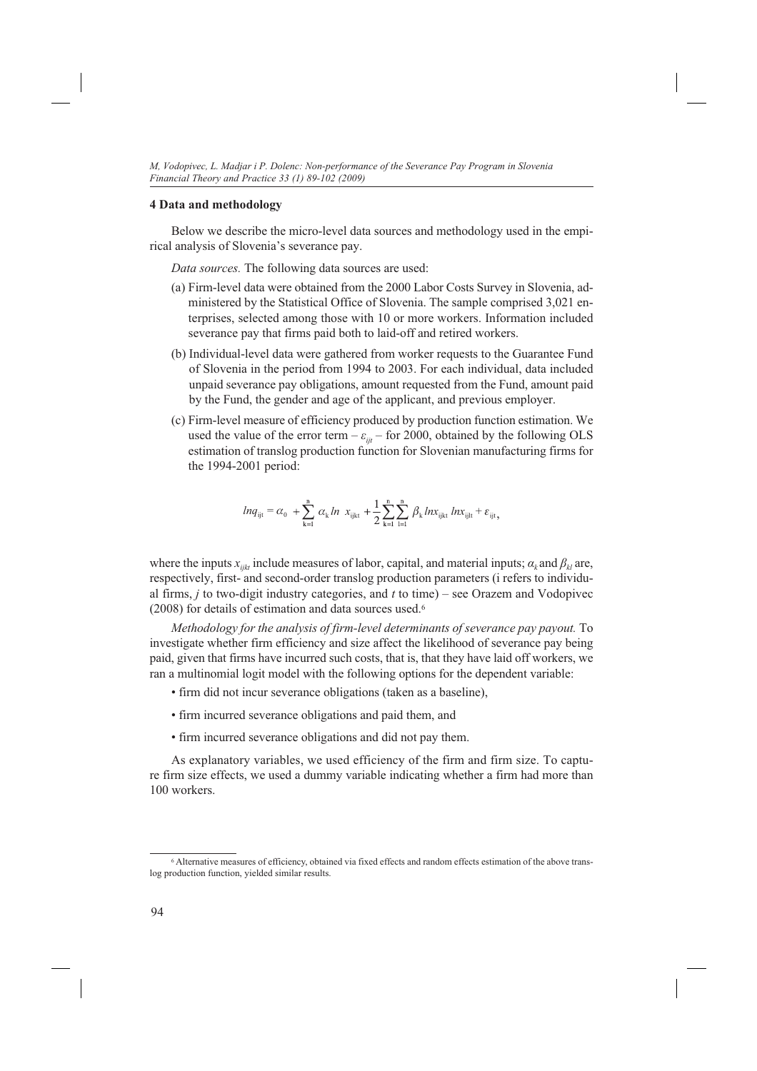#### **4 Data and methodology**

Below we describe the micro-level data sources and methodology used in the empirical analysis of Slovenia's severance pay.

*Data sources.* The following data sources are used:

- (a) Firm-level data were obtained from the 2000 Labor Costs Survey in Slovenia, administered by the Statistical Office of Slovenia. The sample comprised 3,021 enterprises, selected among those with 10 or more workers. Information included severance pay that firms paid both to laid-off and retired workers.
- (b) Individual-level data were gathered from worker requests to the Guarantee Fund of Slovenia in the period from 1994 to 2003. For each individual, data included unpaid severance pay obligations, amount requested from the Fund, amount paid by the Fund, the gender and age of the applicant, and previous employer.
- (c) Firm-level measure of efficiency produced by production function estimation. We used the value of the error term  $-\varepsilon_{ijt}$  – for 2000, obtained by the following OLS estimation of translog production function for Slovenian manufacturing firms for the 1994-2001 period:

$$
ln q_{ijt} = \alpha_0 + \sum_{k=1}^{n} \alpha_k ln \ x_{ijkt} + \frac{1}{2} \sum_{k=1}^{n} \sum_{l=1}^{n} \beta_k ln x_{ijkt} ln x_{ijlt} + \varepsilon_{ijt},
$$

where the inputs  $x_{ijk}$  include measures of labor, capital, and material inputs;  $a_k$  and  $\beta_k$  are, respectively, first- and second-order translog production parameters (i refers to individual firms, *j* to two-digit industry categories, and *t* to time) – see Orazem and Vodopivec (2008) for details of estimation and data sources used.6

*Methodology for the analysis of firm-level determinants of severance pay payout.* To investigate whether firm efficiency and size affect the likelihood of severance pay being paid, given that firms have incurred such costs, that is, that they have laid off workers, we ran a multinomial logit model with the following options for the dependent variable:

- firm did not incur severance obligations (taken as a baseline),
- firm incurred severance obligations and paid them, and
- firm incurred severance obligations and did not pay them.

As explanatory variables, we used efficiency of the firm and firm size. To capture firm size effects, we used a dummy variable indicating whether a firm had more than 100 workers.

<sup>6</sup> Alternative measures of efficiency, obtained via fixed effects and random effects estimation of the above translog production function, yielded similar results.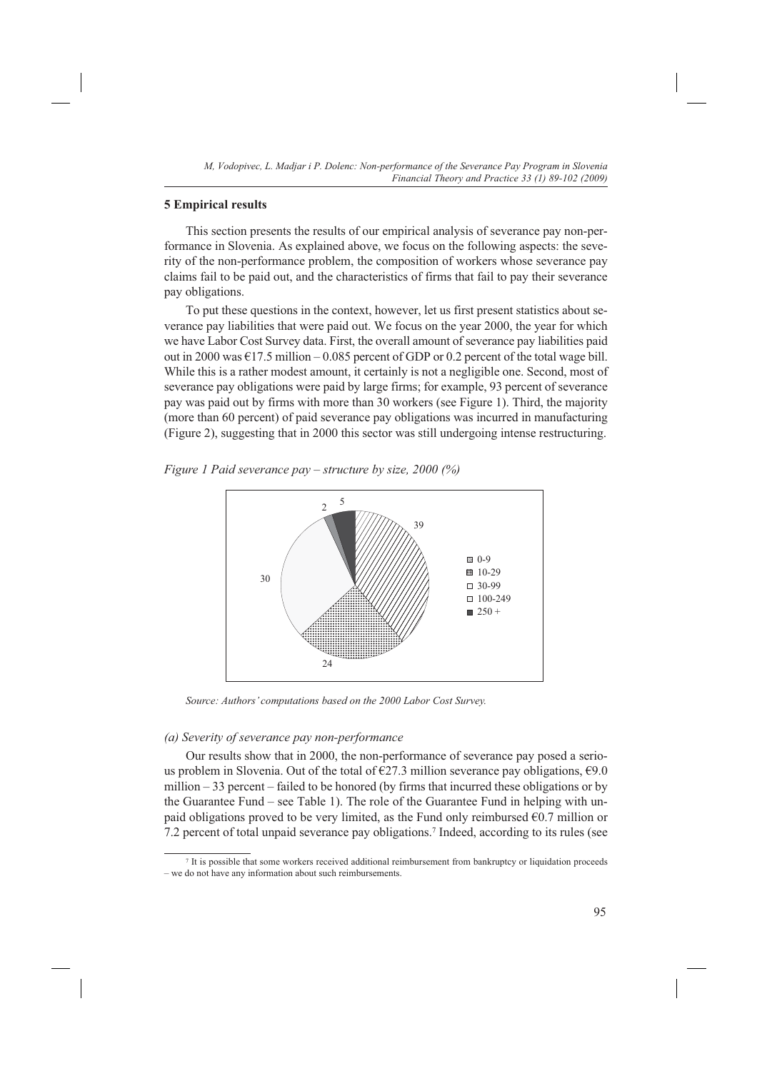# **5 Empirical results**

This section presents the results of our empirical analysis of severance pay non-performance in Slovenia. As explained above, we focus on the following aspects: the severity of the non-performance problem, the composition of workers whose severance pay claims fail to be paid out, and the characteristics of firms that fail to pay their severance pay obligations.

To put these questions in the context, however, let us first present statistics about severance pay liabilities that were paid out. We focus on the year 2000, the year for which we have Labor Cost Survey data. First, the overall amount of severance pay liabilities paid out in 2000 was  $\epsilon$ 17.5 million – 0.085 percent of GDP or 0.2 percent of the total wage bill. While this is a rather modest amount, it certainly is not a negligible one. Second, most of severance pay obligations were paid by large firms; for example, 93 percent of severance pay was paid out by firms with more than 30 workers (see Figure 1). Third, the majority (more than 60 percent) of paid severance pay obligations was incurred in manufacturing (Figure 2), suggesting that in 2000 this sector was still undergoing intense restructuring.

*Figure 1 Paid severance pay – structure by size, 2000 (%)*



*Source: Authors' computations based on the 2000 Labor Cost Survey.*

#### *(a) Severity of severance pay non-performance*

Our results show that in 2000, the non-performance of severance pay posed a serious problem in Slovenia. Out of the total of  $\epsilon$ 27.3 million severance pay obligations,  $\epsilon$ 9.0 million – 33 percent – failed to be honored (by firms that incurred these obligations or by the Guarantee Fund – see Table 1). The role of the Guarantee Fund in helping with unpaid obligations proved to be very limited, as the Fund only reimbursed  $\epsilon$ 0.7 million or 7.2 percent of total unpaid severance pay obligations.7 Indeed, according to its rules (see

<sup>7</sup> It is possible that some workers received additional reimbursement from bankruptcy or liquidation proceeds – we do not have any information about such reimbursements.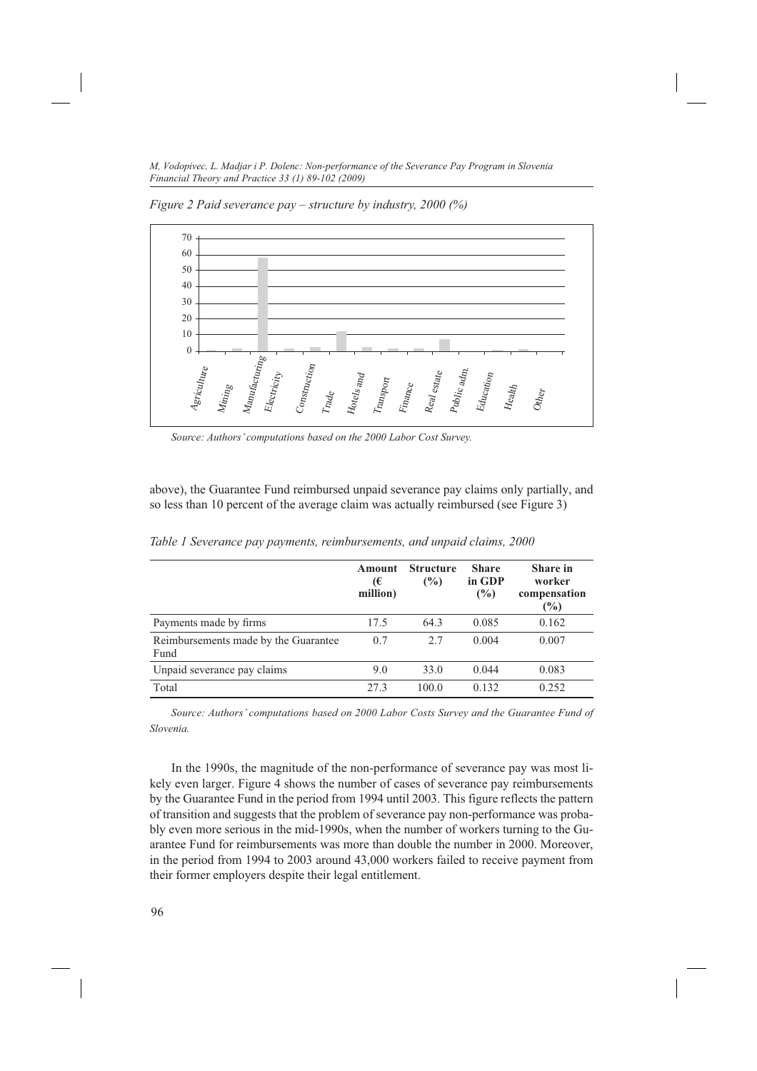*Figure 2 Paid severance pay – structure by industry, 2000 (%)*



*Source: Authors' computations based on the 2000 Labor Cost Survey.*

above), the Guarantee Fund reimbursed unpaid severance pay claims only partially, and so less than 10 percent of the average claim was actually reimbursed (see Figure 3)

|                                              | Amount<br>€<br>million) | <b>Structure</b><br>(%) | <b>Share</b><br>in GDP<br>(%) | Share in<br>worker<br>compensation<br>$\left(\frac{0}{0}\right)$ |
|----------------------------------------------|-------------------------|-------------------------|-------------------------------|------------------------------------------------------------------|
| Payments made by firms                       | 17.5                    | 64.3                    | 0.085                         | 0.162                                                            |
| Reimbursements made by the Guarantee<br>Fund | 0.7                     | 2.7                     | 0.004                         | 0.007                                                            |
| Unpaid severance pay claims                  | 9.0                     | 33.0                    | 0.044                         | 0.083                                                            |
| Total                                        | 27.3                    | 100.0                   | 0.132                         | 0.252                                                            |

*Table 1 Severance pay payments, reimbursements, and unpaid claims, 2000*

*Source: Authors' computations based on 2000 Labor Costs Survey and the Guarantee Fund of Slovenia.*

In the 1990s, the magnitude of the non-performance of severance pay was most likely even larger. Figure 4 shows the number of cases of severance pay reimbursements by the Guarantee Fund in the period from 1994 until 2003. This figure reflects the pattern of transition and suggests that the problem of severance pay non-performance was probably even more serious in the mid-1990s, when the number of workers turning to the Guarantee Fund for reimbursements was more than double the number in 2000. Moreover, in the period from 1994 to 2003 around 43,000 workers failed to receive payment from their former employers despite their legal entitlement.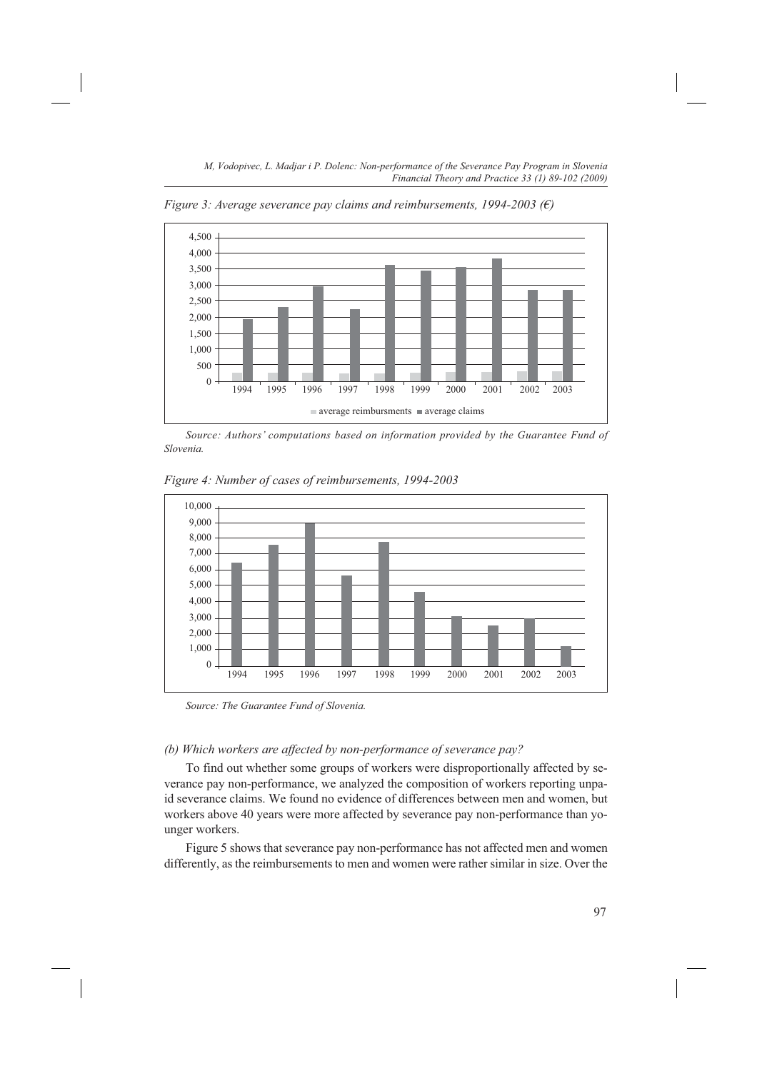*Figure 3: Average severance pay claims and reimbursements, 1994-2003 (€)*



*Source: Authors' computations based on information provided by the Guarantee Fund of Slovenia.*



*Figure 4: Number of cases of reimbursements, 1994-2003*

*Source: The Guarantee Fund of Slovenia.*

# *(b) Which workers are affected by non-performance of severance pay?*

To find out whether some groups of workers were disproportionally affected by severance pay non-performance, we analyzed the composition of workers reporting unpaid severance claims. We found no evidence of differences between men and women, but workers above 40 years were more affected by severance pay non-performance than younger workers.

Figure 5 shows that severance pay non-performance has not affected men and women differently, as the reimbursements to men and women were rather similar in size. Over the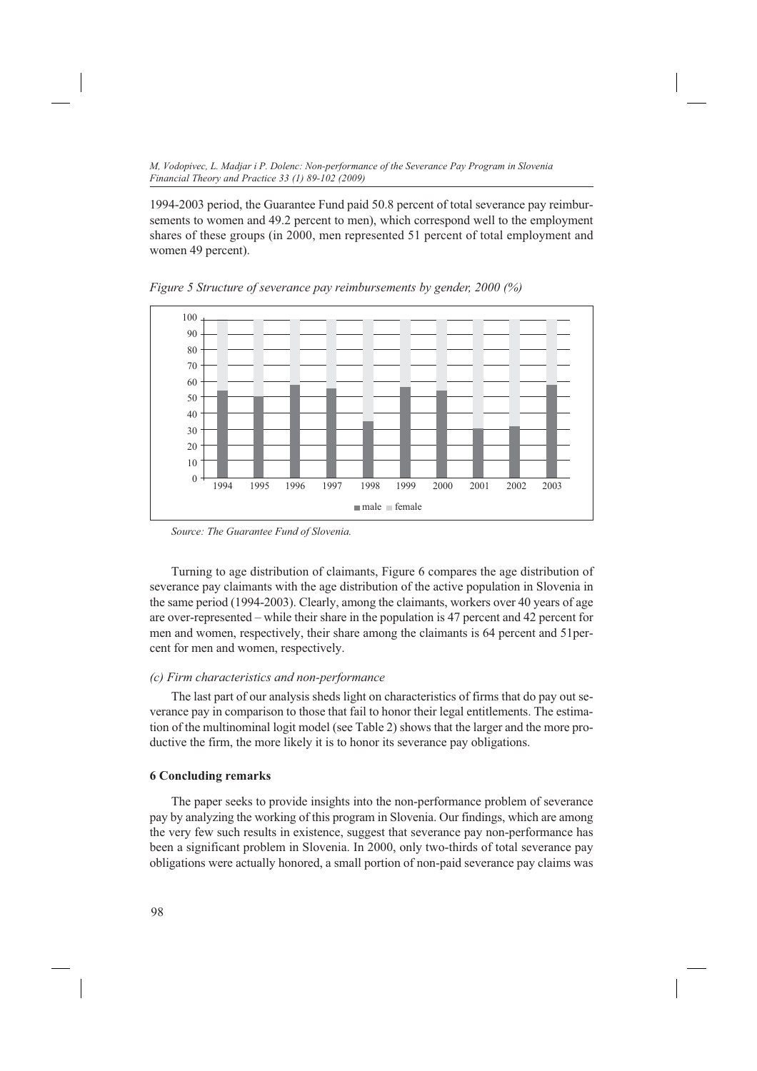1994-2003 period, the Guarantee Fund paid 50.8 percent of total severance pay reimbursements to women and 49.2 percent to men), which correspond well to the employment shares of these groups (in 2000, men represented 51 percent of total employment and women 49 percent).



*Figure 5 Structure of severance pay reimbursements by gender, 2000 (%)*

*Source: The Guarantee Fund of Slovenia.*

Turning to age distribution of claimants, Figure 6 compares the age distribution of severance pay claimants with the age distribution of the active population in Slovenia in the same period (1994-2003). Clearly, among the claimants, workers over 40 years of age are over-represented – while their share in the population is 47 percent and 42 percent for men and women, respectively, their share among the claimants is 64 percent and 51percent for men and women, respectively.

# *(c) Firm characteristics and non-performance*

The last part of our analysis sheds light on characteristics of firms that do pay out severance pay in comparison to those that fail to honor their legal entitlements. The estimation of the multinominal logit model (see Table 2) shows that the larger and the more productive the firm, the more likely it is to honor its severance pay obligations.

### **6 Concluding remarks**

The paper seeks to provide insights into the non-performance problem of severance pay by analyzing the working of this program in Slovenia. Our findings, which are among the very few such results in existence, suggest that severance pay non-performance has been a significant problem in Slovenia. In 2000, only two-thirds of total severance pay obligations were actually honored, a small portion of non-paid severance pay claims was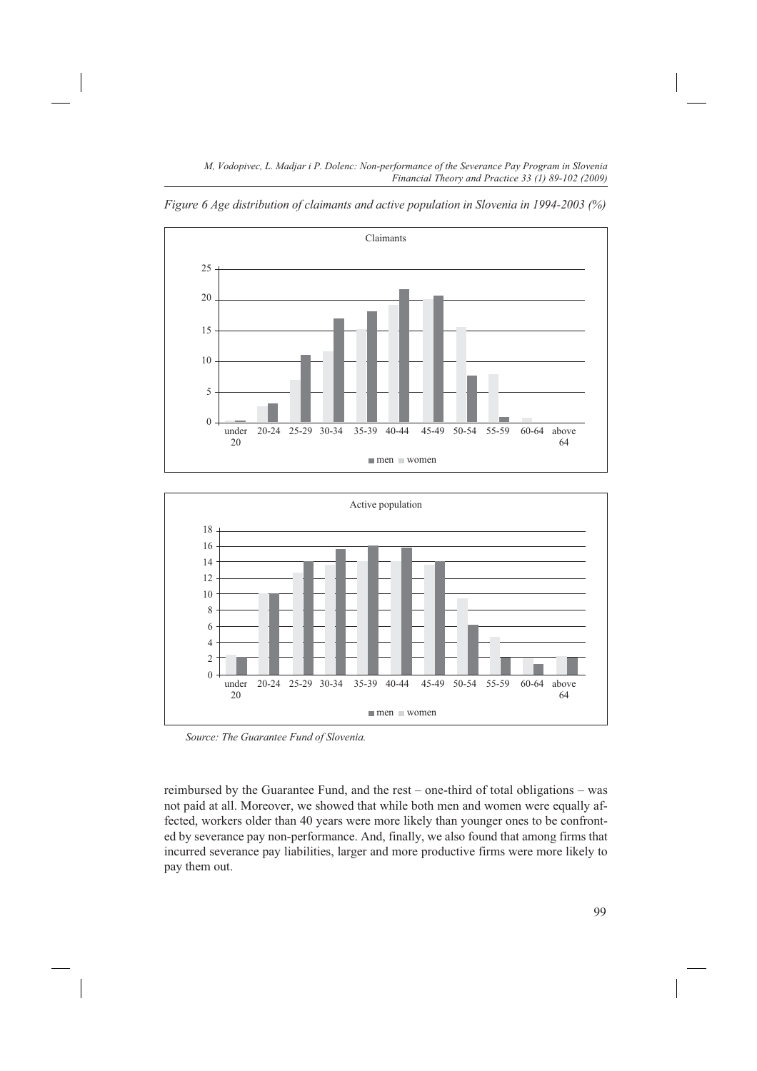

*Figure 6 Age distribution of claimants and active population in Slovenia in 1994-2003 (%)*



*Source: The Guarantee Fund of Slovenia.*

reimbursed by the Guarantee Fund, and the rest – one-third of total obligations – was not paid at all. Moreover, we showed that while both men and women were equally affected, workers older than 40 years were more likely than younger ones to be confronted by severance pay non-performance. And, finally, we also found that among firms that incurred severance pay liabilities, larger and more productive firms were more likely to pay them out.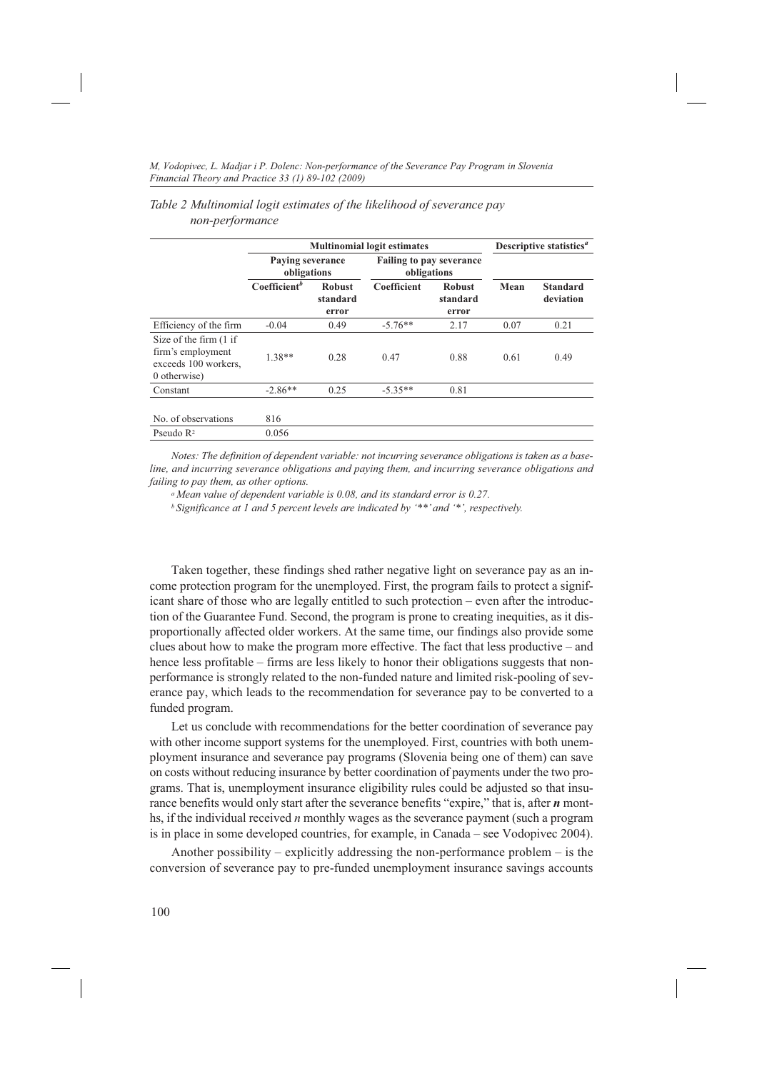# *Table 2 Multinomial logit estimates of the likelihood of severance pay non-performance*

|                                                                                     | <b>Multinomial logit estimates</b> |                                    |             |                                                |      | Descriptive statistics <sup>a</sup> |  |
|-------------------------------------------------------------------------------------|------------------------------------|------------------------------------|-------------|------------------------------------------------|------|-------------------------------------|--|
|                                                                                     | Paying severance<br>obligations    |                                    |             | <b>Failing to pay severance</b><br>obligations |      |                                     |  |
|                                                                                     | Coefficient <sup>b</sup>           | <b>Robust</b><br>standard<br>error | Coefficient | <b>Robust</b><br>standard<br>error             | Mean | <b>Standard</b><br>deviation        |  |
| Efficiency of the firm                                                              | $-0.04$                            | 0.49                               | $-5.76**$   | 2.17                                           | 0.07 | 0.21                                |  |
| Size of the firm (1 if<br>firm's employment<br>exceeds 100 workers.<br>0 otherwise) | $1.38**$                           | 0.28                               | 0.47        | 0.88                                           | 0.61 | 0.49                                |  |
| Constant                                                                            | $-2.86**$                          | 0.25                               | $-5.35**$   | 0.81                                           |      |                                     |  |
| No. of observations                                                                 | 816                                |                                    |             |                                                |      |                                     |  |
| Pseudo $\mathbb{R}^2$                                                               | 0.056                              |                                    |             |                                                |      |                                     |  |

*Notes: The definition of dependent variable: not incurring severance obligations is taken as a baseline, and incurring severance obligations and paying them, and incurring severance obligations and failing to pay them, as other options.*

*a Mean value of dependent variable is 0.08, and its standard error is 0.27.*

*b Significance at 1 and 5 percent levels are indicated by '\*\*' and '\*', respectively.*

Taken together, these findings shed rather negative light on severance pay as an income protection program for the unemployed. First, the program fails to protect a significant share of those who are legally entitled to such protection – even after the introduction of the Guarantee Fund. Second, the program is prone to creating inequities, as it disproportionally affected older workers. At the same time, our findings also provide some clues about how to make the program more effective. The fact that less productive – and hence less profitable – firms are less likely to honor their obligations suggests that nonperformance is strongly related to the non-funded nature and limited risk-pooling of severance pay, which leads to the recommendation for severance pay to be converted to a funded program.

Let us conclude with recommendations for the better coordination of severance pay with other income support systems for the unemployed. First, countries with both unemployment insurance and severance pay programs (Slovenia being one of them) can save on costs without reducing insurance by better coordination of payments under the two programs. That is, unemployment insurance eligibility rules could be adjusted so that insurance benefits would only start after the severance benefits "expire," that is, after *n* months, if the individual received *n* monthly wages as the severance payment (such a program is in place in some developed countries, for example, in Canada – see Vodopivec 2004).

Another possibility – explicitly addressing the non-performance problem – is the conversion of severance pay to pre-funded unemployment insurance savings accounts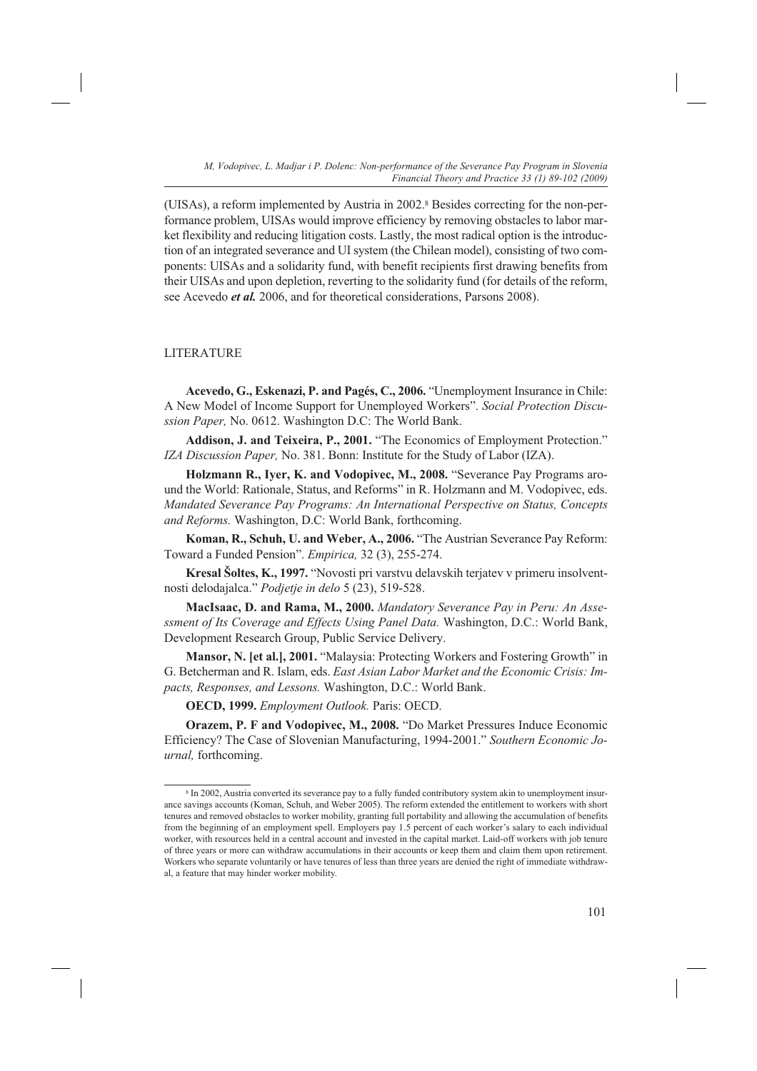(UISAs), a reform implemented by Austria in 2002.8 Besides correcting for the non-performance problem, UISAs would improve efficiency by removing obstacles to labor market flexibility and reducing litigation costs. Lastly, the most radical option is the introduction of an integrated severance and UI system (the Chilean model), consisting of two components: UISAs and a solidarity fund, with benefit recipients first drawing benefits from their UISAs and upon depletion, reverting to the solidarity fund (for details of the reform, see Acevedo *et al.* 2006, and for theoretical considerations, Parsons 2008).

# LITERATURE

**Acevedo, G., Eskenazi, P. and Pagés, C., 2006.** "Unemployment Insurance in Chile: A New Model of Income Support for Unemployed Workers". *Social Protection Discussion Paper,* No. 0612. Washington D.C: The World Bank.

**Addison, J. and Teixeira, P., 2001.** "The Economics of Employment Protection." *IZA Discussion Paper,* No. 381. Bonn: Institute for the Study of Labor (IZA).

**Holzmann R., Iyer, K. and Vodopivec, M., 2008.** "Severance Pay Programs around the World: Rationale, Status, and Reforms" in R. Holzmann and M. Vodopivec, eds. *Mandated Severance Pay Programs: An International Perspective on Status, Concepts and Reforms.* Washington, D.C: World Bank, forthcoming.

**Koman, R., Schuh, U. and Weber, A., 2006.** "The Austrian Severance Pay Reform: Toward a Funded Pension". *Empirica,* 32 (3), 255-274.

**Kresal Šoltes, K., 1997.** "Novosti pri varstvu delavskih terjatev v primeru insolventnosti delodajalca." *Podjetje in delo* 5 (23), 519-528.

**MacIsaac, D. and Rama, M., 2000.** *Mandatory Severance Pay in Peru: An Assessment of Its Coverage and Effects Using Panel Data.* Washington, D.C.: World Bank, Development Research Group, Public Service Delivery.

**Mansor, N. [et al.], 2001.** "Malaysia: Protecting Workers and Fostering Growth" in G. Betcherman and R. Islam, eds. *East Asian Labor Market and the Economic Crisis: Impacts, Responses, and Lessons.* Washington, D.C.: World Bank.

**OECD, 1999.** *Employment Outlook.* Paris: OECD.

**Orazem, P. F and Vodopivec, M., 2008.** "Do Market Pressures Induce Economic Efficiency? The Case of Slovenian Manufacturing, 1994-2001." *Southern Economic Journal,* forthcoming.

<sup>&</sup>lt;sup>8</sup> In 2002, Austria converted its severance pay to a fully funded contributory system akin to unemployment insurance savings accounts (Koman, Schuh, and Weber 2005). The reform extended the entitlement to workers with short tenures and removed obstacles to worker mobility, granting full portability and allowing the accumulation of benefits from the beginning of an employment spell. Employers pay 1.5 percent of each worker's salary to each individual worker, with resources held in a central account and invested in the capital market. Laid-off workers with job tenure of three years or more can withdraw accumulations in their accounts or keep them and claim them upon retirement. Workers who separate voluntarily or have tenures of less than three years are denied the right of immediate withdrawal, a feature that may hinder worker mobility.